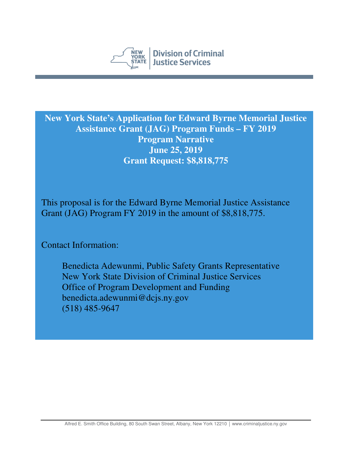

**New York State's Application for Edward Byrne Memorial Justice Assistance Grant (JAG) Program Funds – FY 2019 Program Narrative June 25, 2019 Grant Request: \$8,818,775** 

This proposal is for the Edward Byrne Memorial Justice Assistance Grant (JAG) Program FY 2019 in the amount of \$8,818,775.

Contact Information:

Benedicta Adewunmi, Public Safety Grants Representative New York State Division of Criminal Justice Services Office of Program Development and Funding benedicta.adewunmi@dcjs.ny.gov (518) 485-9647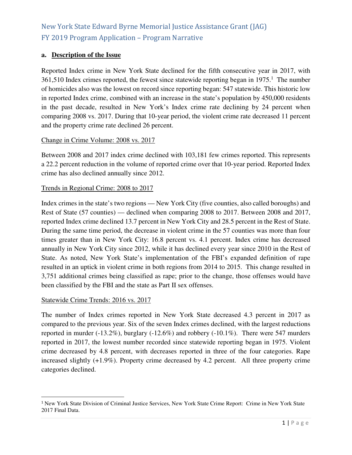### **a. Description of the Issue**

Reported Index crime in New York State declined for the fifth consecutive year in 2017, with  $361,510$  Index crimes reported, the fewest since statewide reporting began in 1975.<sup>1</sup> The number of homicides also was the lowest on record since reporting began: 547 statewide. This historic low in reported Index crime, combined with an increase in the state's population by 450,000 residents in the past decade, resulted in New York's Index crime rate declining by 24 percent when comparing 2008 vs. 2017. During that 10-year period, the violent crime rate decreased 11 percent and the property crime rate declined 26 percent.

#### Change in Crime Volume: 2008 vs. 2017

Between 2008 and 2017 index crime declined with 103,181 few crimes reported. This represents a 22.2 percent reduction in the volume of reported crime over that 10-year period. Reported Index crime has also declined annually since 2012.

#### Trends in Regional Crime: 2008 to 2017

Index crimes in the state's two regions — New York City (five counties, also called boroughs) and Rest of State (57 counties) — declined when comparing 2008 to 2017. Between 2008 and 2017, reported Index crime declined 13.7 percent in New York City and 28.5 percent in the Rest of State. During the same time period, the decrease in violent crime in the 57 counties was more than four times greater than in New York City: 16.8 percent vs. 4.1 percent. Index crime has decreased annually in New York City since 2012, while it has declined every year since 2010 in the Rest of State. As noted, New York State's implementation of the FBI's expanded definition of rape resulted in an uptick in violent crime in both regions from 2014 to 2015. This change resulted in 3,751 additional crimes being classified as rape; prior to the change, those offenses would have been classified by the FBI and the state as Part II sex offenses.

#### Statewide Crime Trends: 2016 vs. 2017

l

The number of Index crimes reported in New York State decreased 4.3 percent in 2017 as compared to the previous year. Six of the seven Index crimes declined, with the largest reductions reported in murder (-13.2%), burglary (-12.6%) and robbery (-10.1%). There were 547 murders reported in 2017, the lowest number recorded since statewide reporting began in 1975. Violent crime decreased by 4.8 percent, with decreases reported in three of the four categories. Rape increased slightly (+1.9%). Property crime decreased by 4.2 percent. All three property crime categories declined.

<sup>1</sup> New York State Division of Criminal Justice Services, New York State Crime Report: Crime in New York State 2017 Final Data.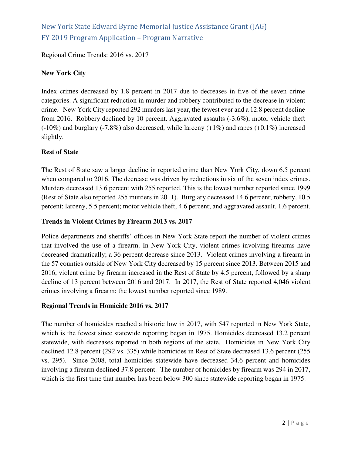### Regional Crime Trends: 2016 vs. 2017

### **New York City**

Index crimes decreased by 1.8 percent in 2017 due to decreases in five of the seven crime categories. A significant reduction in murder and robbery contributed to the decrease in violent crime. New York City reported 292 murders last year, the fewest ever and a 12.8 percent decline from 2016. Robbery declined by 10 percent. Aggravated assaults (-3.6%), motor vehicle theft  $(-10\%)$  and burglary  $(-7.8\%)$  also decreased, while larceny  $(+1\%)$  and rapes  $(+0.1\%)$  increased slightly.

#### **Rest of State**

The Rest of State saw a larger decline in reported crime than New York City, down 6.5 percent when compared to 2016. The decrease was driven by reductions in six of the seven index crimes. Murders decreased 13.6 percent with 255 reported. This is the lowest number reported since 1999 (Rest of State also reported 255 murders in 2011). Burglary decreased 14.6 percent; robbery, 10.5 percent; larceny, 5.5 percent; motor vehicle theft, 4.6 percent; and aggravated assault, 1.6 percent.

#### **Trends in Violent Crimes by Firearm 2013 vs. 2017**

Police departments and sheriffs' offices in New York State report the number of violent crimes that involved the use of a firearm. In New York City, violent crimes involving firearms have decreased dramatically; a 36 percent decrease since 2013. Violent crimes involving a firearm in the 57 counties outside of New York City decreased by 15 percent since 2013. Between 2015 and 2016, violent crime by firearm increased in the Rest of State by 4.5 percent, followed by a sharp decline of 13 percent between 2016 and 2017. In 2017, the Rest of State reported 4,046 violent crimes involving a firearm: the lowest number reported since 1989.

#### **Regional Trends in Homicide 2016 vs. 2017**

The number of homicides reached a historic low in 2017, with 547 reported in New York State, which is the fewest since statewide reporting began in 1975. Homicides decreased 13.2 percent statewide, with decreases reported in both regions of the state. Homicides in New York City declined 12.8 percent (292 vs. 335) while homicides in Rest of State decreased 13.6 percent (255 vs. 295). Since 2008, total homicides statewide have decreased 34.6 percent and homicides involving a firearm declined 37.8 percent. The number of homicides by firearm was 294 in 2017, which is the first time that number has been below 300 since statewide reporting began in 1975.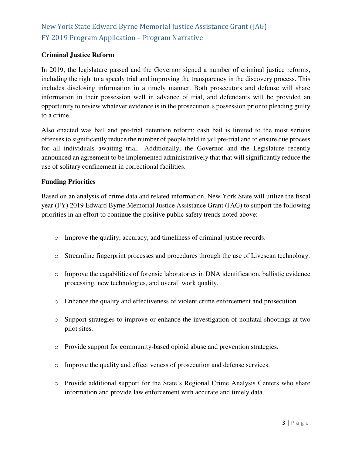### **Criminal Justice Reform**

In 2019, the legislature passed and the Governor signed a number of criminal justice reforms, including the right to a speedy trial and improving the transparency in the discovery process. This includes disclosing information in a timely manner. Both prosecutors and defense will share information in their possession well in advance of trial, and defendants will be provided an opportunity to review whatever evidence is in the prosecution's possession prior to pleading guilty to a crime.

Also enacted was bail and pre-trial detention reform; cash bail is limited to the most serious offenses to significantly reduce the number of people held in jail pre-trial and to ensure due process for all individuals awaiting trial. Additionally, the Governor and the Legislature recently announced an agreement to be implemented administratively that that will significantly reduce the use of solitary confinement in correctional facilities.

### **Funding Priorities**

Based on an analysis of crime data and related information, New York State will utilize the fiscal year (FY) 2019 Edward Byrne Memorial Justice Assistance Grant (JAG) to support the following priorities in an effort to continue the positive public safety trends noted above:

- o Improve the quality, accuracy, and timeliness of criminal justice records.
- o Streamline fingerprint processes and procedures through the use of Livescan technology.
- o Improve the capabilities of forensic laboratories in DNA identification, ballistic evidence processing, new technologies, and overall work quality.
- o Enhance the quality and effectiveness of violent crime enforcement and prosecution.
- o Support strategies to improve or enhance the investigation of nonfatal shootings at two pilot sites.
- o Provide support for community-based opioid abuse and prevention strategies.
- o Improve the quality and effectiveness of prosecution and defense services.
- o Provide additional support for the State's Regional Crime Analysis Centers who share information and provide law enforcement with accurate and timely data.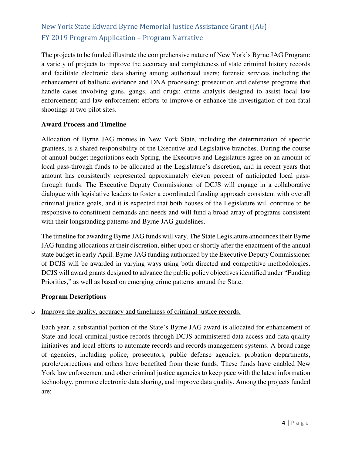The projects to be funded illustrate the comprehensive nature of New York's Byrne JAG Program: a variety of projects to improve the accuracy and completeness of state criminal history records and facilitate electronic data sharing among authorized users; forensic services including the enhancement of ballistic evidence and DNA processing; prosecution and defense programs that handle cases involving guns, gangs, and drugs; crime analysis designed to assist local law enforcement; and law enforcement efforts to improve or enhance the investigation of non-fatal shootings at two pilot sites.

### **Award Process and Timeline**

Allocation of Byrne JAG monies in New York State, including the determination of specific grantees, is a shared responsibility of the Executive and Legislative branches. During the course of annual budget negotiations each Spring, the Executive and Legislature agree on an amount of local pass-through funds to be allocated at the Legislature's discretion, and in recent years that amount has consistently represented approximately eleven percent of anticipated local passthrough funds. The Executive Deputy Commissioner of DCJS will engage in a collaborative dialogue with legislative leaders to foster a coordinated funding approach consistent with overall criminal justice goals, and it is expected that both houses of the Legislature will continue to be responsive to constituent demands and needs and will fund a broad array of programs consistent with their longstanding patterns and Byrne JAG guidelines.

The timeline for awarding Byrne JAG funds will vary. The State Legislature announces their Byrne JAG funding allocations at their discretion, either upon or shortly after the enactment of the annual state budget in early April. Byrne JAG funding authorized by the Executive Deputy Commissioner of DCJS will be awarded in varying ways using both directed and competitive methodologies. DCJS will award grants designed to advance the public policy objectives identified under "Funding Priorities," as well as based on emerging crime patterns around the State.

#### **Program Descriptions**

### o Improve the quality, accuracy and timeliness of criminal justice records.

Each year, a substantial portion of the State's Byrne JAG award is allocated for enhancement of State and local criminal justice records through DCJS administered data access and data quality initiatives and local efforts to automate records and records management systems. A broad range of agencies, including police, prosecutors, public defense agencies, probation departments, parole/corrections and others have benefited from these funds. These funds have enabled New York law enforcement and other criminal justice agencies to keep pace with the latest information technology, promote electronic data sharing, and improve data quality. Among the projects funded are: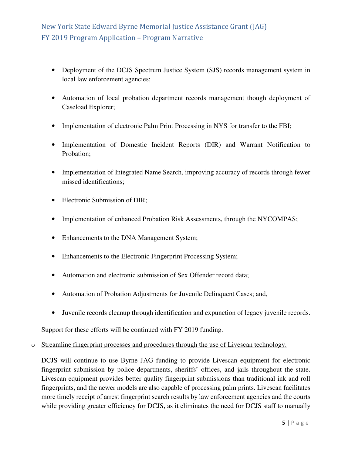- Deployment of the DCJS Spectrum Justice System (SJS) records management system in local law enforcement agencies;
- Automation of local probation department records management though deployment of Caseload Explorer;
- Implementation of electronic Palm Print Processing in NYS for transfer to the FBI;
- Implementation of Domestic Incident Reports (DIR) and Warrant Notification to Probation;
- Implementation of Integrated Name Search, improving accuracy of records through fewer missed identifications;
- Electronic Submission of DIR;
- Implementation of enhanced Probation Risk Assessments, through the NYCOMPAS;
- Enhancements to the DNA Management System;
- Enhancements to the Electronic Fingerprint Processing System;
- Automation and electronic submission of Sex Offender record data;
- Automation of Probation Adjustments for Juvenile Delinquent Cases; and,
- Juvenile records cleanup through identification and expunction of legacy juvenile records.

Support for these efforts will be continued with FY 2019 funding.

#### o Streamline fingerprint processes and procedures through the use of Livescan technology.

DCJS will continue to use Byrne JAG funding to provide Livescan equipment for electronic fingerprint submission by police departments, sheriffs' offices, and jails throughout the state. Livescan equipment provides better quality fingerprint submissions than traditional ink and roll fingerprints, and the newer models are also capable of processing palm prints. Livescan facilitates more timely receipt of arrest fingerprint search results by law enforcement agencies and the courts while providing greater efficiency for DCJS, as it eliminates the need for DCJS staff to manually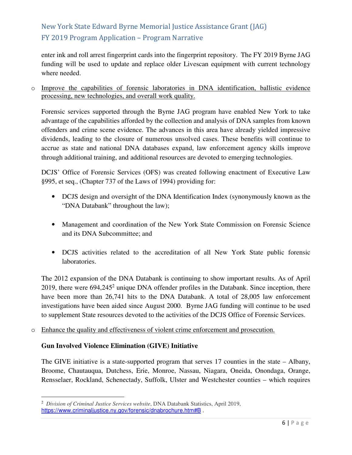enter ink and roll arrest fingerprint cards into the fingerprint repository. The FY 2019 Byrne JAG funding will be used to update and replace older Livescan equipment with current technology where needed.

o Improve the capabilities of forensic laboratories in DNA identification, ballistic evidence processing, new technologies, and overall work quality.

Forensic services supported through the Byrne JAG program have enabled New York to take advantage of the capabilities afforded by the collection and analysis of DNA samples from known offenders and crime scene evidence. The advances in this area have already yielded impressive dividends, leading to the closure of numerous unsolved cases. These benefits will continue to accrue as state and national DNA databases expand, law enforcement agency skills improve through additional training, and additional resources are devoted to emerging technologies.

DCJS' Office of Forensic Services (OFS) was created following enactment of Executive Law §995, et seq., (Chapter 737 of the Laws of 1994) providing for:

- DCJS design and oversight of the DNA Identification Index (synonymously known as the "DNA Databank" throughout the law);
- Management and coordination of the New York State Commission on Forensic Science and its DNA Subcommittee; and
- DCJS activities related to the accreditation of all New York State public forensic laboratories.

The 2012 expansion of the DNA Databank is continuing to show important results. As of April 2019, there were  $694,245^2$  unique DNA offender profiles in the Databank. Since inception, there have been more than 26,741 hits to the DNA Databank. A total of 28,005 law enforcement investigations have been aided since August 2000. Byrne JAG funding will continue to be used to supplement State resources devoted to the activities of the DCJS Office of Forensic Services.

o Enhance the quality and effectiveness of violent crime enforcement and prosecution.

### **Gun Involved Violence Elimination (GIVE) Initiative**

The GIVE initiative is a state-supported program that serves 17 counties in the state – Albany, Broome, Chautauqua, Dutchess, Erie, Monroe, Nassau, Niagara, Oneida, Onondaga, Orange, Rensselaer, Rockland, Schenectady, Suffolk, Ulster and Westchester counties – which requires

<sup>2</sup> *Division of Criminal Justice Services website*, DNA Databank Statistics, April 2019, https://www.criminaljustice.ny.gov/forensic/dnabrochure.htm#B.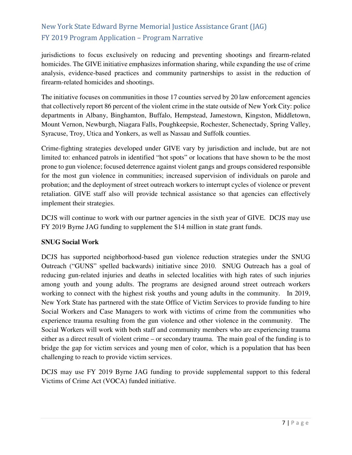jurisdictions to focus exclusively on reducing and preventing shootings and firearm-related homicides. The GIVE initiative emphasizes information sharing, while expanding the use of crime analysis, evidence-based practices and community partnerships to assist in the reduction of firearm-related homicides and shootings.

The initiative focuses on communities in those 17 counties served by 20 law enforcement agencies that collectively report 86 percent of the violent crime in the state outside of New York City: police departments in Albany, Binghamton, Buffalo, Hempstead, Jamestown, Kingston, Middletown, Mount Vernon, Newburgh, Niagara Falls, Poughkeepsie, Rochester, Schenectady, Spring Valley, Syracuse, Troy, Utica and Yonkers, as well as Nassau and Suffolk counties.

Crime-fighting strategies developed under GIVE vary by jurisdiction and include, but are not limited to: enhanced patrols in identified "hot spots" or locations that have shown to be the most prone to gun violence; focused deterrence against violent gangs and groups considered responsible for the most gun violence in communities; increased supervision of individuals on parole and probation; and the deployment of street outreach workers to interrupt cycles of violence or prevent retaliation. GIVE staff also will provide technical assistance so that agencies can effectively implement their strategies.

DCJS will continue to work with our partner agencies in the sixth year of GIVE. DCJS may use FY 2019 Byrne JAG funding to supplement the \$14 million in state grant funds.

### **SNUG Social Work**

DCJS has supported neighborhood-based gun violence reduction strategies under the SNUG Outreach ("GUNS" spelled backwards) initiative since 2010. SNUG Outreach has a goal of reducing gun-related injuries and deaths in selected localities with high rates of such injuries among youth and young adults. The programs are designed around street outreach workers working to connect with the highest risk youths and young adults in the community. In 2019, New York State has partnered with the state Office of Victim Services to provide funding to hire Social Workers and Case Managers to work with victims of crime from the communities who experience trauma resulting from the gun violence and other violence in the community. The Social Workers will work with both staff and community members who are experiencing trauma either as a direct result of violent crime – or secondary trauma. The main goal of the funding is to bridge the gap for victim services and young men of color, which is a population that has been challenging to reach to provide victim services.

DCJS may use FY 2019 Byrne JAG funding to provide supplemental support to this federal Victims of Crime Act (VOCA) funded initiative.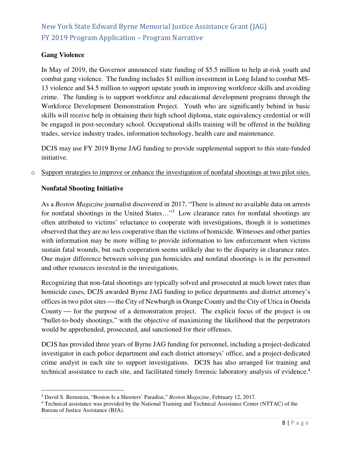### **Gang Violence**

In May of 2019, the Governor announced state funding of \$5.5 million to help at-risk youth and combat gang violence. The funding includes \$1 million investment in Long Island to combat MS-13 violence and \$4.5 million to support upstate youth in improving workforce skills and avoiding crime. The funding is to support workforce and educational development programs through the Workforce Development Demonstration Project. Youth who are significantly behind in basic skills will receive help in obtaining their high school diploma, state equivalency credential or will be engaged in post-secondary school. Occupational skills training will be offered in the building trades, service industry trades, information technology, health care and maintenance.

DCJS may use FY 2019 Byrne JAG funding to provide supplemental support to this state-funded initiative.

o Support strategies to improve or enhance the investigation of nonfatal shootings at two pilot sites.

### **Nonfatal Shooting Initiative**

As a *Boston Magazine* journalist discovered in 2017, "There is almost no available data on arrests for nonfatal shootings in the United States..."<sup>3</sup> Low clearance rates for nonfatal shootings are often attributed to victims' reluctance to cooperate with investigations, though it is sometimes observed that they are no less cooperative than the victims of homicide. Witnesses and other parties with information may be more willing to provide information to law enforcement when victims sustain fatal wounds, but such cooperation seems unlikely due to the disparity in clearance rates. One major difference between solving gun homicides and nonfatal shootings is in the personnel and other resources invested in the investigations.

Recognizing that non-fatal shootings are typically solved and prosecuted at much lower rates than homicide cases, DCJS awarded Byrne JAG funding to police departments and district attorney's offices in two pilot sites - the City of Newburgh in Orange County and the City of Utica in Oneida County  $\equiv$  for the purpose of a demonstration project. The explicit focus of the project is on "bullet-to-body shootings," with the objective of maximizing the likelihood that the perpetrators would be apprehended, prosecuted, and sanctioned for their offenses.

DCJS has provided three years of Byrne JAG funding for personnel, including a project-dedicated investigator in each police department and each district attorneys' office, and a project-dedicated crime analyst in each site to support investigations. DCJS has also arranged for training and technical assistance to each site, and facilitated timely forensic laboratory analysis of evidence.<sup>4</sup>

<sup>3</sup> David S. Bernstein, "Boston Is a Shooters' Paradise," *Boston Magazine*, February 12, 2017.

<sup>4</sup> Technical assistance was provided by the National Training and Technical Assistance Center (NTTAC) of the Bureau of Justice Assistance (BJA).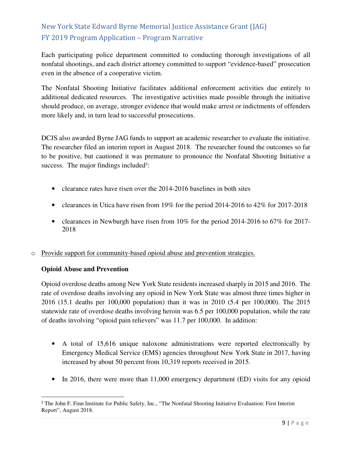Each participating police department committed to conducting thorough investigations of all nonfatal shootings, and each district attorney committed to support "evidence-based" prosecution even in the absence of a cooperative victim.

The Nonfatal Shooting Initiative facilitates additional enforcement activities due entirely to additional dedicated resources. The investigative activities made possible through the initiative should produce, on average, stronger evidence that would make arrest or indictments of offenders more likely and, in turn lead to successful prosecutions.

DCJS also awarded Byrne JAG funds to support an academic researcher to evaluate the initiative. The researcher filed an interim report in August 2018. The researcher found the outcomes so far to be positive, but cautioned it was premature to pronounce the Nonfatal Shooting Initiative a success. The major findings included<sup>5</sup>:

- clearance rates have risen over the 2014-2016 baselines in both sites
- clearances in Utica have risen from 19% for the period 2014-2016 to 42% for 2017-2018
- clearances in Newburgh have risen from 10% for the period 2014-2016 to 67% for 2017-2018
- o Provide support for community-based opioid abuse and prevention strategies.

### **Opioid Abuse and Prevention**

l

Opioid overdose deaths among New York State residents increased sharply in 2015 and 2016. The rate of overdose deaths involving any opioid in New York State was almost three times higher in 2016 (15.1 deaths per 100,000 population) than it was in 2010 (5.4 per 100,000). The 2015 statewide rate of overdose deaths involving heroin was 6.5 per 100,000 population, while the rate of deaths involving "opioid pain relievers" was 11.7 per 100,000. In addition:

- A total of 15,616 unique naloxone administrations were reported electronically by Emergency Medical Service (EMS) agencies throughout New York State in 2017, having increased by about 50 percent from 10,319 reports received in 2015.
- In 2016, there were more than 11,000 emergency department (ED) visits for any opioid

<sup>&</sup>lt;sup>5</sup> The John F. Finn Institute for Public Safety, Inc., "The Nonfatal Shooting Initiative Evaluation: First Interim Report", August 2018.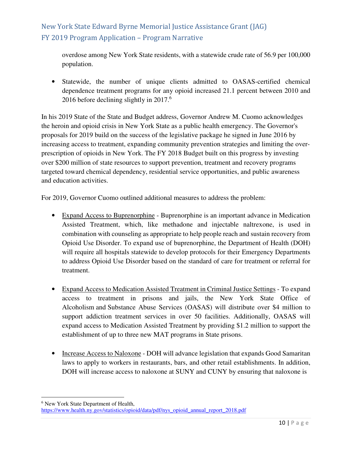overdose among New York State residents, with a statewide crude rate of 56.9 per 100,000 population.

• Statewide, the number of unique clients admitted to OASAS-certified chemical dependence treatment programs for any opioid increased 21.1 percent between 2010 and 2016 before declining slightly in 2017.<sup>6</sup>

In his 2019 State of the State and Budget address, Governor Andrew M. Cuomo acknowledges the heroin and opioid crisis in New York State as a public health emergency. The Governor's proposals for 2019 build on the success of the legislative package he signed in June 2016 by increasing access to treatment, expanding community prevention strategies and limiting the overprescription of opioids in New York. The FY 2018 Budget built on this progress by investing over \$200 million of state resources to support prevention, treatment and recovery programs targeted toward chemical dependency, residential service opportunities, and public awareness and education activities.

For 2019, Governor Cuomo outlined additional measures to address the problem:

- Expand Access to Buprenorphine Buprenorphine is an important advance in Medication Assisted Treatment, which, like methadone and injectable naltrexone, is used in combination with counseling as appropriate to help people reach and sustain recovery from Opioid Use Disorder. To expand use of buprenorphine, the Department of Health (DOH) will require all hospitals statewide to develop protocols for their Emergency Departments to address Opioid Use Disorder based on the standard of care for treatment or referral for treatment.
- Expand Access to Medication Assisted Treatment in Criminal Justice Settings To expand access to treatment in prisons and jails, the New York State Office of Alcoholism and Substance Abuse Services (OASAS) will distribute over \$4 million to support addiction treatment services in over 50 facilities. Additionally, OASAS will expand access to Medication Assisted Treatment by providing \$1.2 million to support the establishment of up to three new MAT programs in State prisons.
- Increase Access to Naloxone DOH will advance legislation that expands Good Samaritan laws to apply to workers in restaurants, bars, and other retail establishments. In addition, DOH will increase access to naloxone at SUNY and CUNY by ensuring that naloxone is

l

<sup>6</sup> New York State Department of Health,

https://www.health.ny.gov/statistics/opioid/data/pdf/nys\_opioid\_annual\_report\_2018.pdf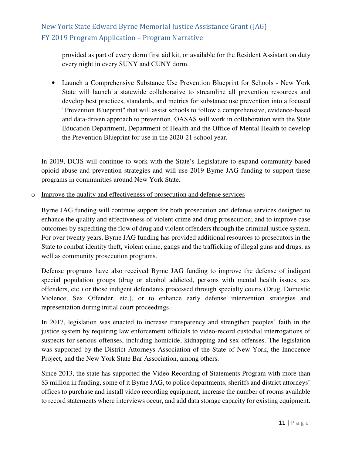provided as part of every dorm first aid kit, or available for the Resident Assistant on duty every night in every SUNY and CUNY dorm.

• Launch a Comprehensive Substance Use Prevention Blueprint for Schools - New York State will launch a statewide collaborative to streamline all prevention resources and develop best practices, standards, and metrics for substance use prevention into a focused "Prevention Blueprint" that will assist schools to follow a comprehensive, evidence-based and data-driven approach to prevention. OASAS will work in collaboration with the State Education Department, Department of Health and the Office of Mental Health to develop the Prevention Blueprint for use in the 2020-21 school year.

In 2019, DCJS will continue to work with the State's Legislature to expand community-based opioid abuse and prevention strategies and will use 2019 Byrne JAG funding to support these programs in communities around New York State.

o Improve the quality and effectiveness of prosecution and defense services

Byrne JAG funding will continue support for both prosecution and defense services designed to enhance the quality and effectiveness of violent crime and drug prosecution; and to improve case outcomes by expediting the flow of drug and violent offenders through the criminal justice system. For over twenty years, Byrne JAG funding has provided additional resources to prosecutors in the State to combat identity theft, violent crime, gangs and the trafficking of illegal guns and drugs, as well as community prosecution programs.

Defense programs have also received Byrne JAG funding to improve the defense of indigent special population groups (drug or alcohol addicted, persons with mental health issues, sex offenders, etc.) or those indigent defendants processed through specialty courts (Drug, Domestic Violence, Sex Offender, etc.), or to enhance early defense intervention strategies and representation during initial court proceedings.

In 2017, legislation was enacted to increase transparency and strengthen peoples' faith in the justice system by requiring law enforcement officials to video-record custodial interrogations of suspects for serious offenses, including homicide, kidnapping and sex offenses. The legislation was supported by the District Attorneys Association of the State of New York, the Innocence Project, and the New York State Bar Association, among others.

Since 2013, the state has supported the Video Recording of Statements Program with more than \$3 million in funding, some of it Byrne JAG, to police departments, sheriffs and district attorneys' offices to purchase and install video recording equipment, increase the number of rooms available to record statements where interviews occur, and add data storage capacity for existing equipment.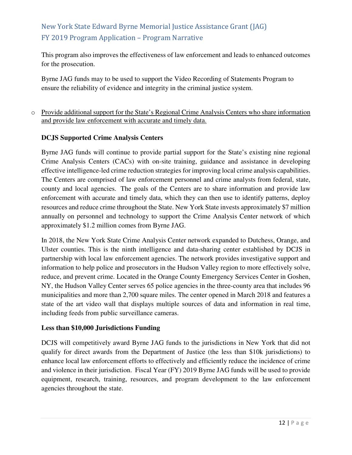This program also improves the effectiveness of law enforcement and leads to enhanced outcomes for the prosecution.

Byrne JAG funds may to be used to support the Video Recording of Statements Program to ensure the reliability of evidence and integrity in the criminal justice system.

### o Provide additional support for the State's Regional Crime Analysis Centers who share information and provide law enforcement with accurate and timely data.

### **DCJS Supported Crime Analysis Centers**

Byrne JAG funds will continue to provide partial support for the State's existing nine regional Crime Analysis Centers (CACs) with on-site training, guidance and assistance in developing effective intelligence-led crime reduction strategies for improving local crime analysis capabilities. The Centers are comprised of law enforcement personnel and crime analysts from federal, state, county and local agencies. The goals of the Centers are to share information and provide law enforcement with accurate and timely data, which they can then use to identify patterns, deploy resources and reduce crime throughout the State. New York State invests approximately \$7 million annually on personnel and technology to support the Crime Analysis Center network of which approximately \$1.2 million comes from Byrne JAG.

In 2018, the New York State Crime Analysis Center network expanded to Dutchess, Orange, and Ulster counties. This is the ninth intelligence and data-sharing center established by DCJS in partnership with local law enforcement agencies. The network provides investigative support and information to help police and prosecutors in the Hudson Valley region to more effectively solve, reduce, and prevent crime. Located in the Orange County Emergency Services Center in Goshen, NY, the Hudson Valley Center serves 65 police agencies in the three-county area that includes 96 municipalities and more than 2,700 square miles. The center opened in March 2018 and features a state of the art video wall that displays multiple sources of data and information in real time, including feeds from public surveillance cameras.

### **Less than \$10,000 Jurisdictions Funding**

DCJS will competitively award Byrne JAG funds to the jurisdictions in New York that did not qualify for direct awards from the Department of Justice (the less than \$10k jurisdictions) to enhance local law enforcement efforts to effectively and efficiently reduce the incidence of crime and violence in their jurisdiction. Fiscal Year (FY) 2019 Byrne JAG funds will be used to provide equipment, research, training, resources, and program development to the law enforcement agencies throughout the state.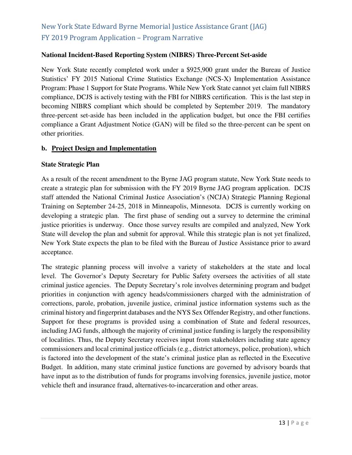#### **National Incident-Based Reporting System (NIBRS) Three-Percent Set-aside**

New York State recently completed work under a \$925,900 grant under the Bureau of Justice Statistics' FY 2015 National Crime Statistics Exchange (NCS-X) Implementation Assistance Program: Phase 1 Support for State Programs. While New York State cannot yet claim full NIBRS compliance, DCJS is actively testing with the FBI for NIBRS certification. This is the last step in becoming NIBRS compliant which should be completed by September 2019. The mandatory three-percent set-aside has been included in the application budget, but once the FBI certifies compliance a Grant Adjustment Notice (GAN) will be filed so the three-percent can be spent on other priorities.

#### **b. Project Design and Implementation**

#### **State Strategic Plan**

As a result of the recent amendment to the Byrne JAG program statute, New York State needs to create a strategic plan for submission with the FY 2019 Byrne JAG program application. DCJS staff attended the National Criminal Justice Association's (NCJA) Strategic Planning Regional Training on September 24-25, 2018 in Minneapolis, Minnesota. DCJS is currently working on developing a strategic plan. The first phase of sending out a survey to determine the criminal justice priorities is underway. Once those survey results are compiled and analyzed, New York State will develop the plan and submit for approval. While this strategic plan is not yet finalized, New York State expects the plan to be filed with the Bureau of Justice Assistance prior to award acceptance.

The strategic planning process will involve a variety of stakeholders at the state and local level. The Governor's Deputy Secretary for Public Safety oversees the activities of all state criminal justice agencies. The Deputy Secretary's role involves determining program and budget priorities in conjunction with agency heads/commissioners charged with the administration of corrections, parole, probation, juvenile justice, criminal justice information systems such as the criminal history and fingerprint databases and the NYS Sex Offender Registry, and other functions. Support for these programs is provided using a combination of State and federal resources, including JAG funds, although the majority of criminal justice funding is largely the responsibility of localities. Thus, the Deputy Secretary receives input from stakeholders including state agency commissioners and local criminal justice officials (e.g., district attorneys, police, probation), which is factored into the development of the state's criminal justice plan as reflected in the Executive Budget. In addition, many state criminal justice functions are governed by advisory boards that have input as to the distribution of funds for programs involving forensics, juvenile justice, motor vehicle theft and insurance fraud, alternatives-to-incarceration and other areas.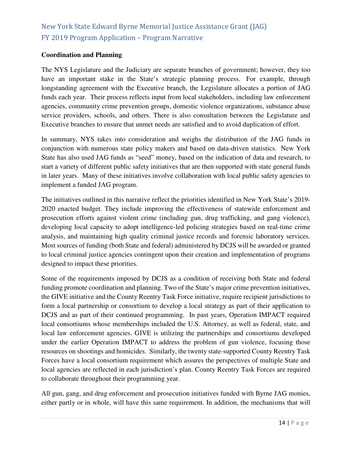### **Coordination and Planning**

The NYS Legislature and the Judiciary are separate branches of government; however, they too have an important stake in the State's strategic planning process. For example, through longstanding agreement with the Executive branch, the Legislature allocates a portion of JAG funds each year. Their process reflects input from local stakeholders, including law enforcement agencies, community crime prevention groups, domestic violence organizations, substance abuse service providers, schools, and others. There is also consultation between the Legislature and Executive branches to ensure that unmet needs are satisfied and to avoid duplication of effort.

In summary, NYS takes into consideration and weighs the distribution of the JAG funds in conjunction with numerous state policy makers and based on data-driven statistics. New York State has also used JAG funds as "seed" money, based on the indication of data and research, to start a variety of different public safety initiatives that are then supported with state general funds in later years. Many of these initiatives involve collaboration with local public safety agencies to implement a funded JAG program.

The initiatives outlined in this narrative reflect the priorities identified in New York State's 2019- 2020 enacted budget. They include improving the effectiveness of statewide enforcement and prosecution efforts against violent crime (including gun, drug trafficking, and gang violence), developing local capacity to adopt intelligence-led policing strategies based on real-time crime analysis, and maintaining high quality criminal justice records and forensic laboratory services. Most sources of funding (both State and federal) administered by DCJS will be awarded or granted to local criminal justice agencies contingent upon their creation and implementation of programs designed to impact these priorities.

Some of the requirements imposed by DCJS as a condition of receiving both State and federal funding promote coordination and planning. Two of the State's major crime prevention initiatives, the GIVE initiative and the County Reentry Task Force initiative, require recipient jurisdictions to form a local partnership or consortium to develop a local strategy as part of their application to DCJS and as part of their continued programming. In past years, Operation IMPACT required local consortiums whose memberships included the U.S. Attorney, as well as federal, state, and local law enforcement agencies. GIVE is utilizing the partnerships and consortiums developed under the earlier Operation IMPACT to address the problem of gun violence, focusing those resources on shootings and homicides. Similarly, the twenty state-supported County Reentry Task Forces have a local consortium requirement which assures the perspectives of multiple State and local agencies are reflected in each jurisdiction's plan. County Reentry Task Forces are required to collaborate throughout their programming year.

All gun, gang, and drug enforcement and prosecution initiatives funded with Byrne JAG monies, either partly or in whole, will have this same requirement. In addition, the mechanisms that will